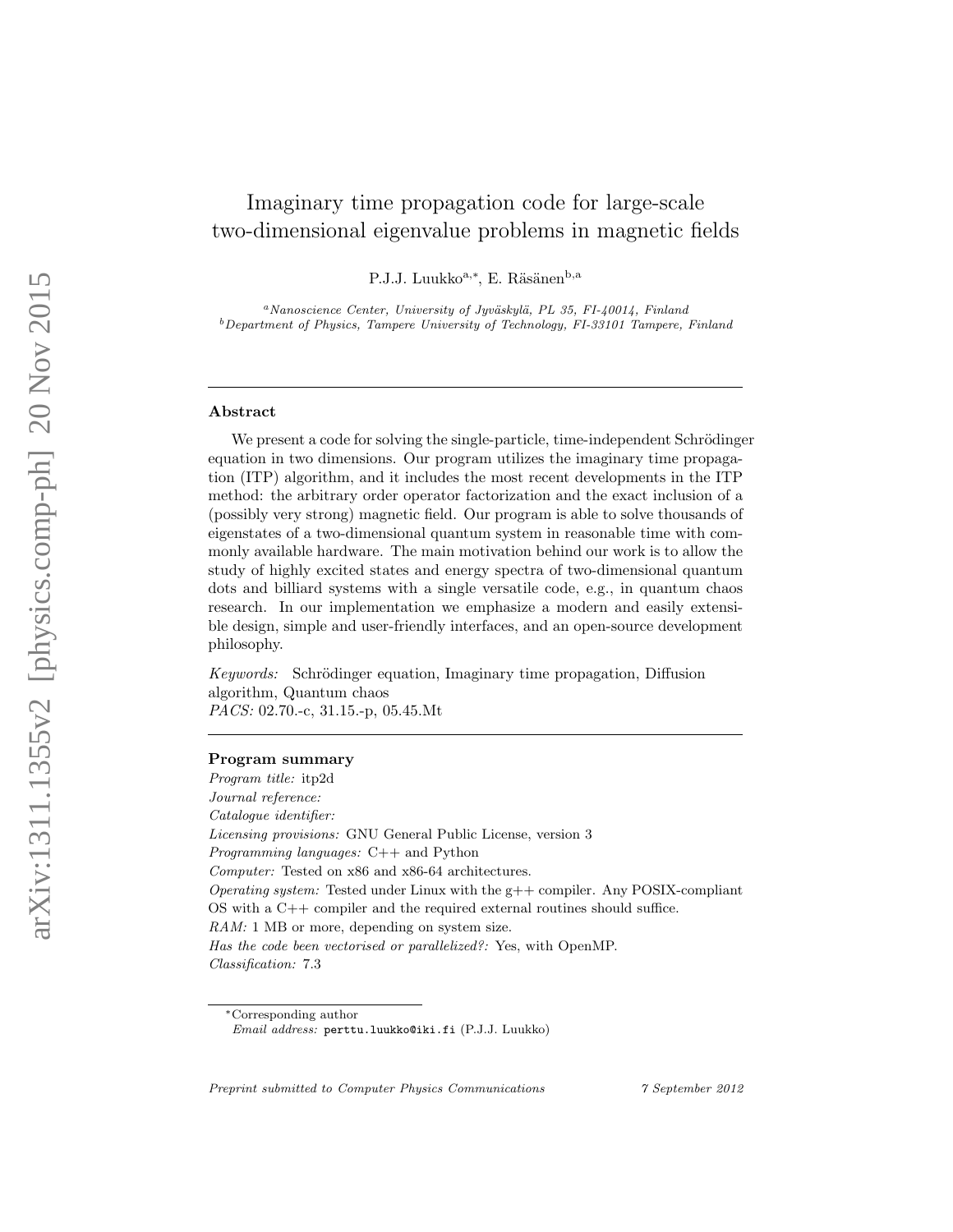# Imaginary time propagation code for large-scale two-dimensional eigenvalue problems in magnetic fields

P.J.J. Luukko<sup>a,\*</sup>, E. Räsänen<sup>b,a</sup>

<sup>a</sup>Nanoscience Center, University of Jyväskylä, PL 35, FI-40014, Finland  $b$ Department of Physics, Tampere University of Technology, FI-33101 Tampere, Finland

### Abstract

We present a code for solving the single-particle, time-independent Schrödinger equation in two dimensions. Our program utilizes the imaginary time propagation (ITP) algorithm, and it includes the most recent developments in the ITP method: the arbitrary order operator factorization and the exact inclusion of a (possibly very strong) magnetic field. Our program is able to solve thousands of eigenstates of a two-dimensional quantum system in reasonable time with commonly available hardware. The main motivation behind our work is to allow the study of highly excited states and energy spectra of two-dimensional quantum dots and billiard systems with a single versatile code, e.g., in quantum chaos research. In our implementation we emphasize a modern and easily extensible design, simple and user-friendly interfaces, and an open-source development philosophy.

Keywords: Schrödinger equation, Imaginary time propagation, Diffusion algorithm, Quantum chaos PACS: 02.70.-c, 31.15.-p, 05.45.Mt

# Program summary

Program title: itp2d Journal reference: Catalogue identifier: Licensing provisions: GNU General Public License, version 3 Programming languages: C++ and Python Computer: Tested on x86 and x86-64 architectures. *Operating system:* Tested under Linux with the  $g++$  compiler. Any POSIX-compliant OS with a C++ compiler and the required external routines should suffice. RAM: 1 MB or more, depending on system size. Has the code been vectorised or parallelized?: Yes, with OpenMP. Classification: 7.3

Preprint submitted to Computer Physics Communications 7 September 2012

<sup>∗</sup>Corresponding author

Email address: perttu.luukko@iki.fi (P.J.J. Luukko)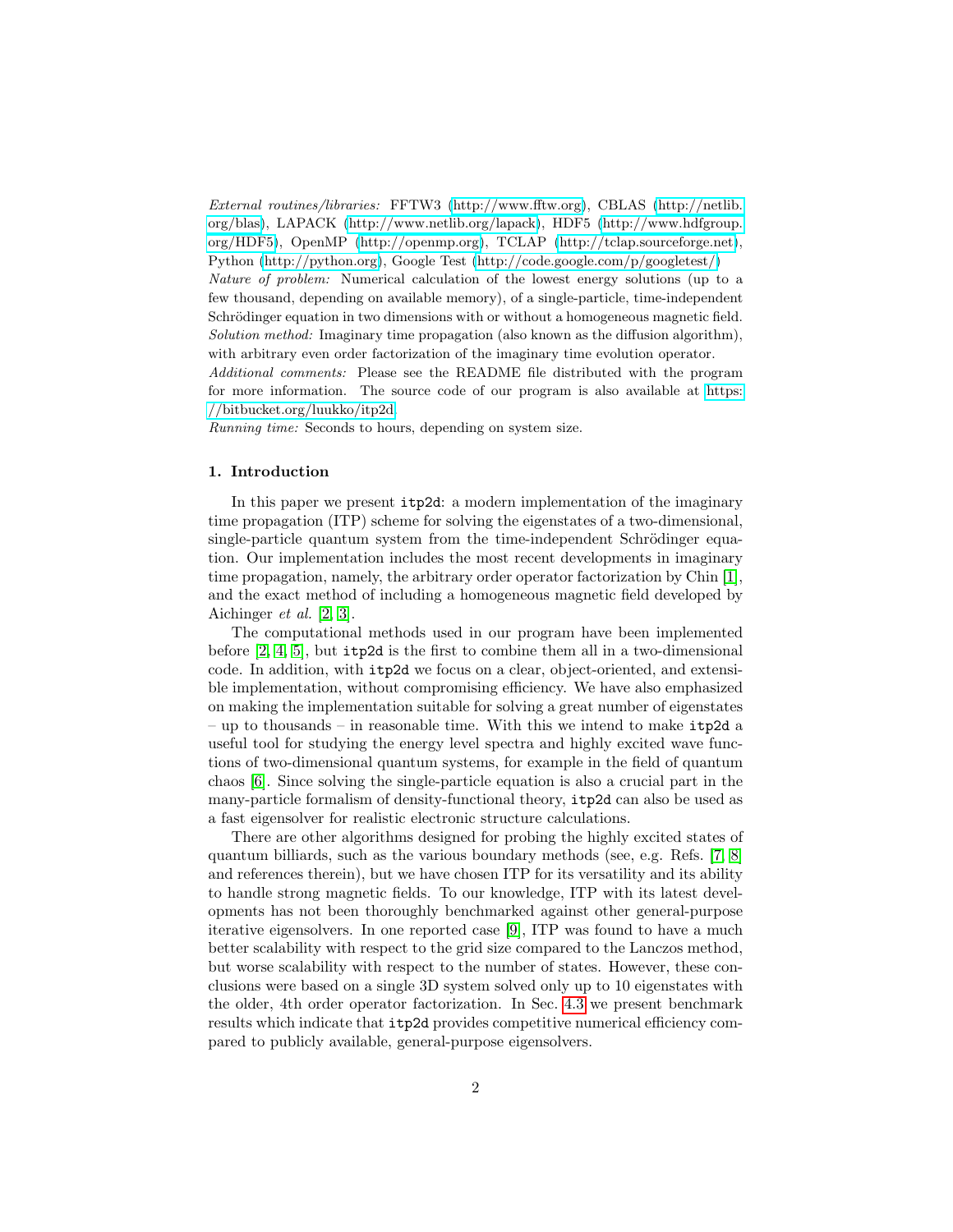External routines/libraries: FFTW3 [\(http://www.fftw.org\)](http://www.fftw.org), CBLAS [\(http://netlib.](http://netlib.org/blas) [org/blas\)](http://netlib.org/blas), LAPACK [\(http://www.netlib.org/lapack\)](http://www.netlib.org/lapack), HDF5 [\(http://www.hdfgroup.](http://www.hdfgroup.org/HDF5) [org/HDF5\)](http://www.hdfgroup.org/HDF5), OpenMP [\(http://openmp.org\)](http://openmp.org), TCLAP [\(http://tclap.sourceforge.net\)](http://tclap.sourceforge.net), Python [\(http://python.org\)](http://python.org), Google Test [\(http://code.google.com/p/googletest/\)](http://code.google.com/p/googletest/) Nature of problem: Numerical calculation of the lowest energy solutions (up to a few thousand, depending on available memory), of a single-particle, time-independent Schrödinger equation in two dimensions with or without a homogeneous magnetic field. Solution method: Imaginary time propagation (also known as the diffusion algorithm), with arbitrary even order factorization of the imaginary time evolution operator. Additional comments: Please see the README file distributed with the program

for more information. The source code of our program is also available at [https:](https://bitbucket.org/luukko/itp2d) [//bitbucket.org/luukko/itp2d.](https://bitbucket.org/luukko/itp2d)

Running time: Seconds to hours, depending on system size.

# 1. Introduction

In this paper we present itp2d: a modern implementation of the imaginary time propagation (ITP) scheme for solving the eigenstates of a two-dimensional, single-particle quantum system from the time-independent Schrödinger equation. Our implementation includes the most recent developments in imaginary time propagation, namely, the arbitrary order operator factorization by Chin [\[1\]](#page-15-0), and the exact method of including a homogeneous magnetic field developed by Aichinger et al. [\[2,](#page-15-1) [3\]](#page-15-2).

The computational methods used in our program have been implemented before [\[2,](#page-15-1) [4,](#page-15-3) [5\]](#page-15-4), but itp2d is the first to combine them all in a two-dimensional code. In addition, with itp2d we focus on a clear, object-oriented, and extensible implementation, without compromising efficiency. We have also emphasized on making the implementation suitable for solving a great number of eigenstates – up to thousands – in reasonable time. With this we intend to make itp2d a useful tool for studying the energy level spectra and highly excited wave functions of two-dimensional quantum systems, for example in the field of quantum chaos [\[6\]](#page-15-5). Since solving the single-particle equation is also a crucial part in the many-particle formalism of density-functional theory, itp2d can also be used as a fast eigensolver for realistic electronic structure calculations.

There are other algorithms designed for probing the highly excited states of quantum billiards, such as the various boundary methods (see, e.g. Refs. [\[7,](#page-16-0) [8\]](#page-16-1) and references therein), but we have chosen ITP for its versatility and its ability to handle strong magnetic fields. To our knowledge, ITP with its latest developments has not been thoroughly benchmarked against other general-purpose iterative eigensolvers. In one reported case [\[9\]](#page-16-2), ITP was found to have a much better scalability with respect to the grid size compared to the Lanczos method, but worse scalability with respect to the number of states. However, these conclusions were based on a single 3D system solved only up to 10 eigenstates with the older, 4th order operator factorization. In Sec. [4.3](#page-13-0) we present benchmark results which indicate that itp2d provides competitive numerical efficiency compared to publicly available, general-purpose eigensolvers.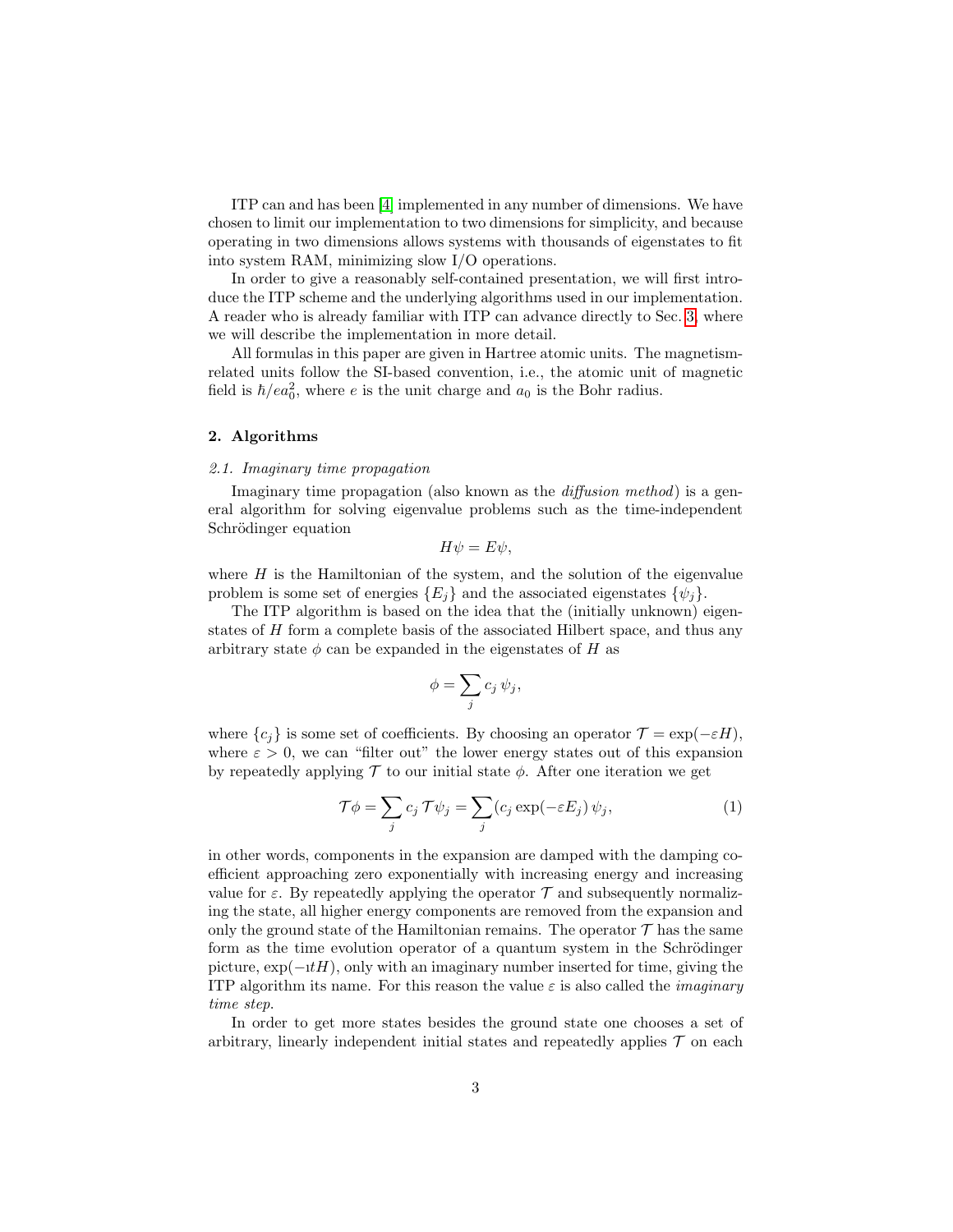ITP can and has been [\[4\]](#page-15-3) implemented in any number of dimensions. We have chosen to limit our implementation to two dimensions for simplicity, and because operating in two dimensions allows systems with thousands of eigenstates to fit into system RAM, minimizing slow I/O operations.

In order to give a reasonably self-contained presentation, we will first introduce the ITP scheme and the underlying algorithms used in our implementation. A reader who is already familiar with ITP can advance directly to Sec. [3,](#page-8-0) where we will describe the implementation in more detail.

All formulas in this paper are given in Hartree atomic units. The magnetismrelated units follow the SI-based convention, i.e., the atomic unit of magnetic field is  $\hbar/ea_0^2$ , where e is the unit charge and  $a_0$  is the Bohr radius.

# 2. Algorithms

# <span id="page-2-1"></span>2.1. Imaginary time propagation

Imaginary time propagation (also known as the *diffusion method*) is a general algorithm for solving eigenvalue problems such as the time-independent Schrödinger equation

$$
H\psi = E\psi,
$$

where  $H$  is the Hamiltonian of the system, and the solution of the eigenvalue problem is some set of energies  $\{E_i\}$  and the associated eigenstates  $\{\psi_i\}$ .

The ITP algorithm is based on the idea that the (initially unknown) eigenstates of H form a complete basis of the associated Hilbert space, and thus any arbitrary state  $\phi$  can be expanded in the eigenstates of H as

$$
\phi = \sum_j c_j \,\psi_j,
$$

where  ${c_i}$  is some set of coefficients. By choosing an operator  $\mathcal{T} = \exp(-\varepsilon H)$ , where  $\varepsilon > 0$ , we can "filter out" the lower energy states out of this expansion by repeatedly applying  $\mathcal T$  to our initial state  $\phi$ . After one iteration we get

<span id="page-2-0"></span>
$$
\mathcal{T}\phi = \sum_{j} c_j \mathcal{T}\psi_j = \sum_{j} (c_j \exp(-\varepsilon E_j) \psi_j, \tag{1}
$$

in other words, components in the expansion are damped with the damping coefficient approaching zero exponentially with increasing energy and increasing value for  $\varepsilon$ . By repeatedly applying the operator  $\mathcal T$  and subsequently normalizing the state, all higher energy components are removed from the expansion and only the ground state of the Hamiltonian remains. The operator  $\mathcal T$  has the same form as the time evolution operator of a quantum system in the Schrödinger picture,  $\exp(-\mathrm{i}tH)$ , only with an imaginary number inserted for time, giving the ITP algorithm its name. For this reason the value  $\varepsilon$  is also called the *imaginary* time step.

In order to get more states besides the ground state one chooses a set of arbitrary, linearly independent initial states and repeatedly applies  $\mathcal T$  on each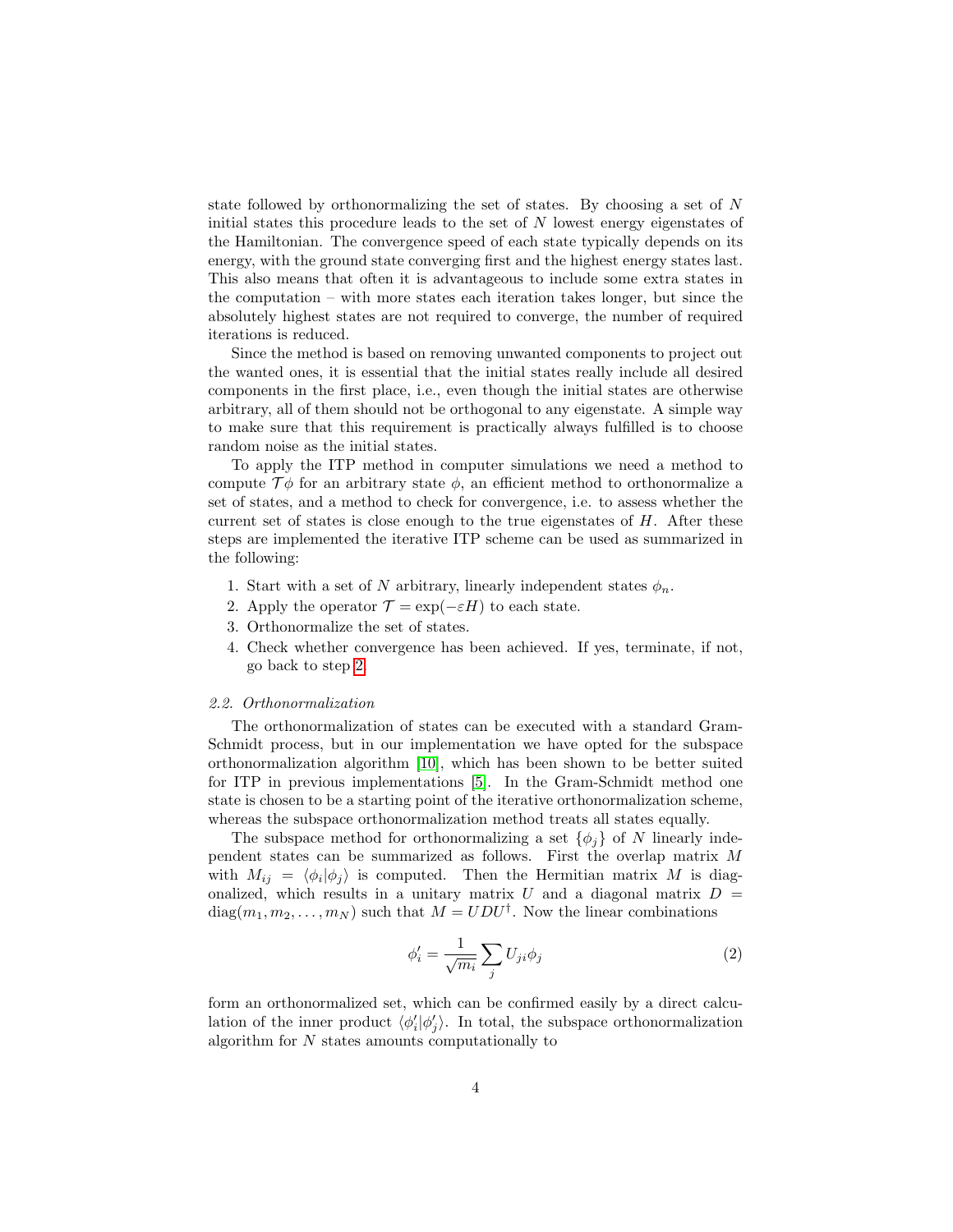state followed by orthonormalizing the set of states. By choosing a set of N initial states this procedure leads to the set of  $N$  lowest energy eigenstates of the Hamiltonian. The convergence speed of each state typically depends on its energy, with the ground state converging first and the highest energy states last. This also means that often it is advantageous to include some extra states in the computation – with more states each iteration takes longer, but since the absolutely highest states are not required to converge, the number of required iterations is reduced.

Since the method is based on removing unwanted components to project out the wanted ones, it is essential that the initial states really include all desired components in the first place, i.e., even though the initial states are otherwise arbitrary, all of them should not be orthogonal to any eigenstate. A simple way to make sure that this requirement is practically always fulfilled is to choose random noise as the initial states.

To apply the ITP method in computer simulations we need a method to compute  $\mathcal{T}\phi$  for an arbitrary state  $\phi$ , an efficient method to orthonormalize a set of states, and a method to check for convergence, i.e. to assess whether the current set of states is close enough to the true eigenstates of  $H$ . After these steps are implemented the iterative ITP scheme can be used as summarized in the following:

- 1. Start with a set of N arbitrary, linearly independent states  $\phi_n$ .
- <span id="page-3-0"></span>2. Apply the operator  $\mathcal{T} = \exp(-\varepsilon H)$  to each state.
- 3. Orthonormalize the set of states.
- 4. Check whether convergence has been achieved. If yes, terminate, if not, go back to step [2.](#page-3-0)

## <span id="page-3-2"></span>2.2. Orthonormalization

The orthonormalization of states can be executed with a standard Gram-Schmidt process, but in our implementation we have opted for the subspace orthonormalization algorithm [\[10\]](#page-16-3), which has been shown to be better suited for ITP in previous implementations [\[5\]](#page-15-4). In the Gram-Schmidt method one state is chosen to be a starting point of the iterative orthonormalization scheme, whereas the subspace orthonormalization method treats all states equally.

The subspace method for orthonormalizing a set  $\{\phi_i\}$  of N linearly independent states can be summarized as follows. First the overlap matrix M with  $M_{ij} = \langle \phi_i | \phi_j \rangle$  is computed. Then the Hermitian matrix M is diagonalized, which results in a unitary matrix  $U$  and a diagonal matrix  $D =$  $diag(m_1, m_2, \ldots, m_N)$  such that  $M = UDU^{\dagger}$ . Now the linear combinations

<span id="page-3-1"></span>
$$
\phi_i' = \frac{1}{\sqrt{m_i}} \sum_j U_{ji} \phi_j \tag{2}
$$

form an orthonormalized set, which can be confirmed easily by a direct calculation of the inner product  $\langle \phi'_i | \phi'_j \rangle$ . In total, the subspace orthonormalization algorithm for N states amounts computationally to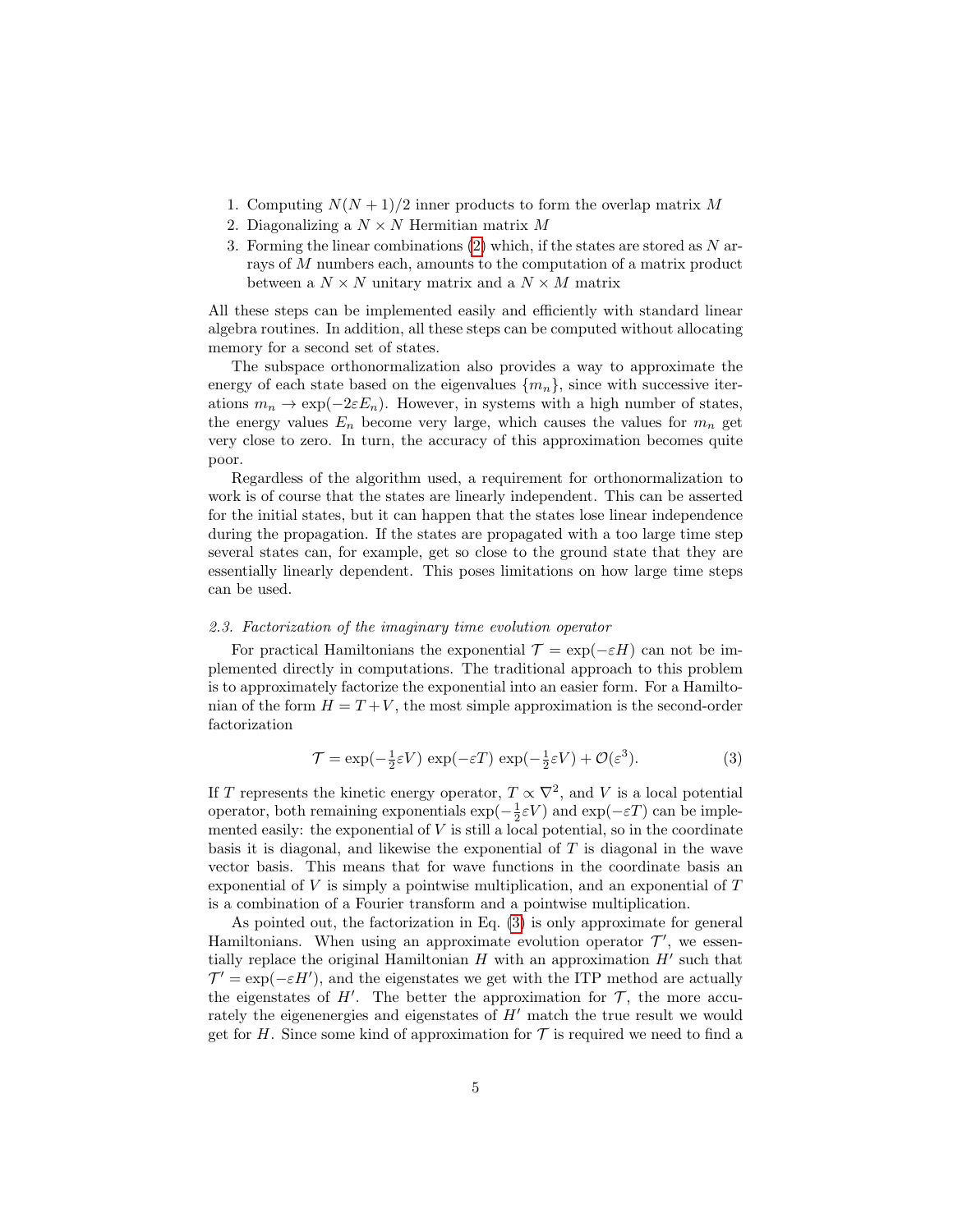- 1. Computing  $N(N+1)/2$  inner products to form the overlap matrix M
- 2. Diagonalizing a  $N \times N$  Hermitian matrix M
- 3. Forming the linear combinations  $(2)$  which, if the states are stored as N arrays of M numbers each, amounts to the computation of a matrix product between a  $N \times N$  unitary matrix and a  $N \times M$  matrix

All these steps can be implemented easily and efficiently with standard linear algebra routines. In addition, all these steps can be computed without allocating memory for a second set of states.

The subspace orthonormalization also provides a way to approximate the energy of each state based on the eigenvalues  ${m_n}$ , since with successive iterations  $m_n \to \exp(-2\varepsilon E_n)$ . However, in systems with a high number of states, the energy values  $E_n$  become very large, which causes the values for  $m_n$  get very close to zero. In turn, the accuracy of this approximation becomes quite poor.

Regardless of the algorithm used, a requirement for orthonormalization to work is of course that the states are linearly independent. This can be asserted for the initial states, but it can happen that the states lose linear independence during the propagation. If the states are propagated with a too large time step several states can, for example, get so close to the ground state that they are essentially linearly dependent. This poses limitations on how large time steps can be used.

#### 2.3. Factorization of the imaginary time evolution operator

For practical Hamiltonians the exponential  $\mathcal{T} = \exp(-\varepsilon H)$  can not be implemented directly in computations. The traditional approach to this problem is to approximately factorize the exponential into an easier form. For a Hamiltonian of the form  $H = T + V$ , the most simple approximation is the second-order factorization

<span id="page-4-0"></span>
$$
\mathcal{T} = \exp(-\frac{1}{2}\varepsilon V) \exp(-\varepsilon T) \exp(-\frac{1}{2}\varepsilon V) + \mathcal{O}(\varepsilon^3).
$$
 (3)

If T represents the kinetic energy operator,  $T \propto \nabla^2$ , and V is a local potential operator, both remaining exponentials  $\exp(-\frac{1}{2}\varepsilon V)$  and  $\exp(-\varepsilon T)$  can be implemented easily: the exponential of  $V$  is still a local potential, so in the coordinate basis it is diagonal, and likewise the exponential of T is diagonal in the wave vector basis. This means that for wave functions in the coordinate basis an exponential of  $V$  is simply a pointwise multiplication, and an exponential of  $T$ is a combination of a Fourier transform and a pointwise multiplication.

As pointed out, the factorization in Eq. [\(3\)](#page-4-0) is only approximate for general Hamiltonians. When using an approximate evolution operator  $\mathcal{T}'$ , we essentially replace the original Hamiltonian  $H$  with an approximation  $H'$  such that  $\mathcal{T}' = \exp(-\varepsilon H')$ , and the eigenstates we get with the ITP method are actually the eigenstates of  $H'$ . The better the approximation for  $\mathcal{T}$ , the more accurately the eigenenergies and eigenstates of  $H'$  match the true result we would get for H. Since some kind of approximation for  $\mathcal T$  is required we need to find a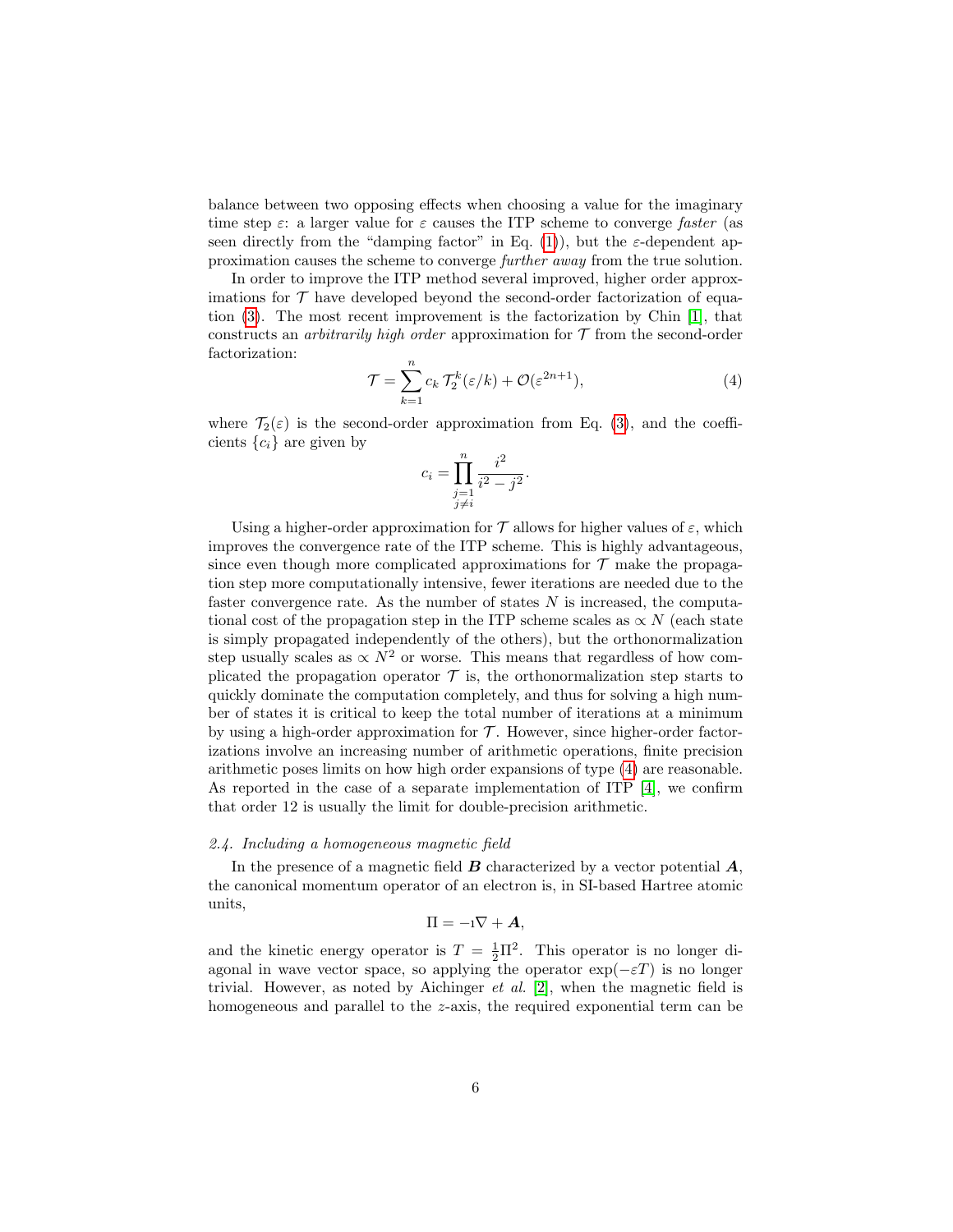balance between two opposing effects when choosing a value for the imaginary time step  $\varepsilon$ : a larger value for  $\varepsilon$  causes the ITP scheme to converge *faster* (as seen directly from the "damping factor" in Eq. [\(1\)](#page-2-0)), but the  $\varepsilon$ -dependent approximation causes the scheme to converge further away from the true solution.

In order to improve the ITP method several improved, higher order approximations for  $\mathcal T$  have developed beyond the second-order factorization of equation [\(3\)](#page-4-0). The most recent improvement is the factorization by Chin [\[1\]](#page-15-0), that constructs an *arbitrarily high order* approximation for  $\mathcal T$  from the second-order factorization:

<span id="page-5-0"></span>
$$
\mathcal{T} = \sum_{k=1}^{n} c_k \, \mathcal{T}_2^k(\varepsilon/k) + \mathcal{O}(\varepsilon^{2n+1}),\tag{4}
$$

where  $\mathcal{T}_2(\varepsilon)$  is the second-order approximation from Eq. [\(3\)](#page-4-0), and the coefficients  ${c_i}$  are given by

$$
c_i = \prod_{\substack{j=1 \ j \neq i}}^n \frac{i^2}{i^2 - j^2}.
$$

Using a higher-order approximation for T allows for higher values of  $\varepsilon$ , which improves the convergence rate of the ITP scheme. This is highly advantageous, since even though more complicated approximations for  $\mathcal T$  make the propagation step more computationally intensive, fewer iterations are needed due to the faster convergence rate. As the number of states N is increased, the computational cost of the propagation step in the ITP scheme scales as  $\propto N$  (each state is simply propagated independently of the others), but the orthonormalization step usually scales as  $\propto N^2$  or worse. This means that regardless of how complicated the propagation operator  $\mathcal T$  is, the orthonormalization step starts to quickly dominate the computation completely, and thus for solving a high number of states it is critical to keep the total number of iterations at a minimum by using a high-order approximation for  $\mathcal T$ . However, since higher-order factorizations involve an increasing number of arithmetic operations, finite precision arithmetic poses limits on how high order expansions of type [\(4\)](#page-5-0) are reasonable. As reported in the case of a separate implementation of ITP  $[4]$ , we confirm that order 12 is usually the limit for double-precision arithmetic.

# <span id="page-5-1"></span>2.4. Including a homogeneous magnetic field

In the presence of a magnetic field  $\boldsymbol{B}$  characterized by a vector potential  $\boldsymbol{A}$ , the canonical momentum operator of an electron is, in SI-based Hartree atomic units,

$$
\Pi=-\mathrm{i}\nabla+\boldsymbol{A},
$$

and the kinetic energy operator is  $T = \frac{1}{2}\Pi^2$ . This operator is no longer diagonal in wave vector space, so applying the operator  $\exp(-\varepsilon T)$  is no longer trivial. However, as noted by Aichinger *et al.* [\[2\]](#page-15-1), when the magnetic field is homogeneous and parallel to the z-axis, the required exponential term can be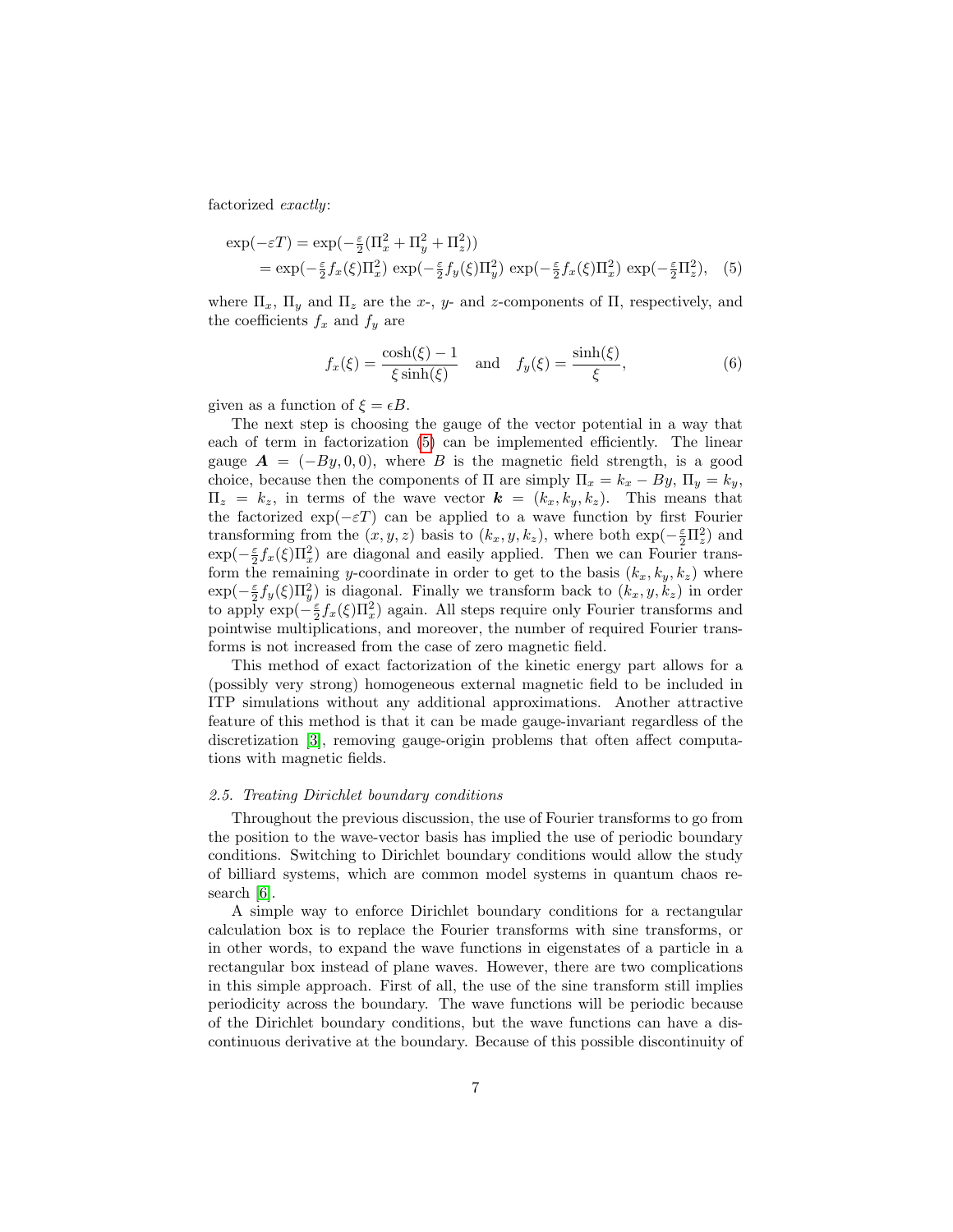factorized exactly:

$$
\exp(-\varepsilon T) = \exp(-\frac{\varepsilon}{2}(\Pi_x^2 + \Pi_y^2 + \Pi_z^2))
$$
  
= 
$$
\exp(-\frac{\varepsilon}{2}f_x(\xi)\Pi_x^2) \exp(-\frac{\varepsilon}{2}f_y(\xi)\Pi_y^2) \exp(-\frac{\varepsilon}{2}f_x(\xi)\Pi_x^2) \exp(-\frac{\varepsilon}{2}\Pi_z^2),
$$
 (5)

where  $\Pi_x$ ,  $\Pi_y$  and  $\Pi_z$  are the x-, y- and z-components of  $\Pi$ , respectively, and the coefficients  $f_x$  and  $f_y$  are

<span id="page-6-0"></span>
$$
f_x(\xi) = \frac{\cosh(\xi) - 1}{\xi \sinh(\xi)} \quad \text{and} \quad f_y(\xi) = \frac{\sinh(\xi)}{\xi},\tag{6}
$$

given as a function of  $\xi = \epsilon B$ .

The next step is choosing the gauge of the vector potential in a way that each of term in factorization [\(5\)](#page-6-0) can be implemented efficiently. The linear gauge  $\mathbf{A} = (-By, 0, 0)$ , where B is the magnetic field strength, is a good choice, because then the components of  $\Pi$  are simply  $\Pi_x = k_x - By$ ,  $\Pi_y = k_y$ ,  $\Pi_z = k_z$ , in terms of the wave vector  $\mathbf{k} = (k_x, k_y, k_z)$ . This means that the factorized  $\exp(-\varepsilon T)$  can be applied to a wave function by first Fourier transforming from the  $(x, y, z)$  basis to  $(k_x, y, k_z)$ , where both  $\exp(-\frac{\epsilon}{2}\Pi_z^2)$  and  $\exp(-\frac{\varepsilon}{2}f_x(\xi)\Pi_x^2)$  are diagonal and easily applied. Then we can Fourier transform the remaining y-coordinate in order to get to the basis  $(k_x, k_y, k_z)$  where  $\exp(-\frac{\varepsilon}{2}f_y(\xi)\Pi_y^2)$  is diagonal. Finally we transform back to  $(k_x, y, k_z)$  in order to apply  $\exp(-\frac{\varepsilon}{2}f_x(\xi)\Pi_x^2)$  again. All steps require only Fourier transforms and pointwise multiplications, and moreover, the number of required Fourier transforms is not increased from the case of zero magnetic field.

This method of exact factorization of the kinetic energy part allows for a (possibly very strong) homogeneous external magnetic field to be included in ITP simulations without any additional approximations. Another attractive feature of this method is that it can be made gauge-invariant regardless of the discretization [\[3\]](#page-15-2), removing gauge-origin problems that often affect computations with magnetic fields.

#### <span id="page-6-1"></span>2.5. Treating Dirichlet boundary conditions

Throughout the previous discussion, the use of Fourier transforms to go from the position to the wave-vector basis has implied the use of periodic boundary conditions. Switching to Dirichlet boundary conditions would allow the study of billiard systems, which are common model systems in quantum chaos research [\[6\]](#page-15-5).

A simple way to enforce Dirichlet boundary conditions for a rectangular calculation box is to replace the Fourier transforms with sine transforms, or in other words, to expand the wave functions in eigenstates of a particle in a rectangular box instead of plane waves. However, there are two complications in this simple approach. First of all, the use of the sine transform still implies periodicity across the boundary. The wave functions will be periodic because of the Dirichlet boundary conditions, but the wave functions can have a discontinuous derivative at the boundary. Because of this possible discontinuity of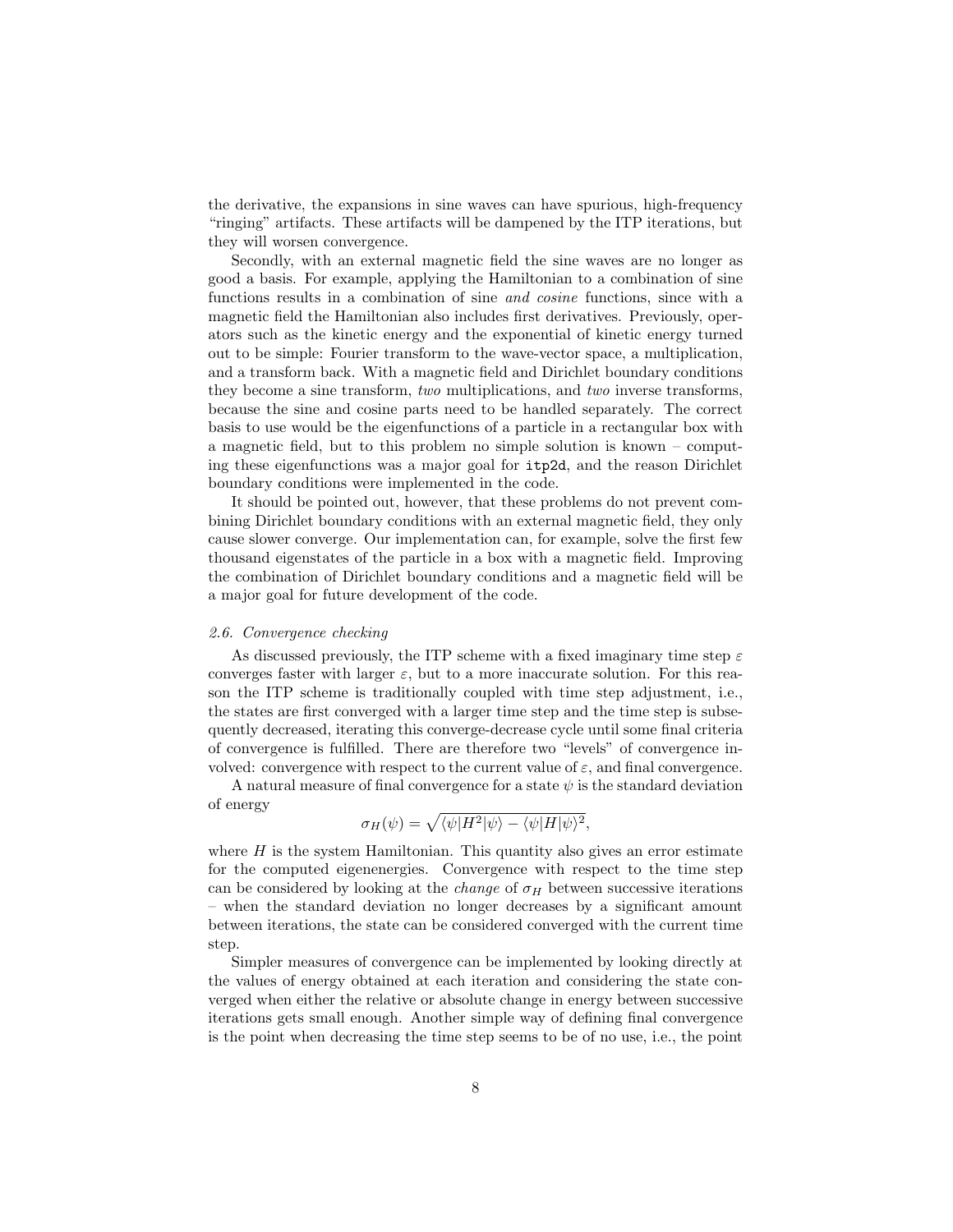the derivative, the expansions in sine waves can have spurious, high-frequency "ringing" artifacts. These artifacts will be dampened by the ITP iterations, but they will worsen convergence.

Secondly, with an external magnetic field the sine waves are no longer as good a basis. For example, applying the Hamiltonian to a combination of sine functions results in a combination of sine and cosine functions, since with a magnetic field the Hamiltonian also includes first derivatives. Previously, operators such as the kinetic energy and the exponential of kinetic energy turned out to be simple: Fourier transform to the wave-vector space, a multiplication, and a transform back. With a magnetic field and Dirichlet boundary conditions they become a sine transform, two multiplications, and two inverse transforms, because the sine and cosine parts need to be handled separately. The correct basis to use would be the eigenfunctions of a particle in a rectangular box with a magnetic field, but to this problem no simple solution is known – computing these eigenfunctions was a major goal for itp2d, and the reason Dirichlet boundary conditions were implemented in the code.

It should be pointed out, however, that these problems do not prevent combining Dirichlet boundary conditions with an external magnetic field, they only cause slower converge. Our implementation can, for example, solve the first few thousand eigenstates of the particle in a box with a magnetic field. Improving the combination of Dirichlet boundary conditions and a magnetic field will be a major goal for future development of the code.

# <span id="page-7-0"></span>2.6. Convergence checking

As discussed previously, the ITP scheme with a fixed imaginary time step  $\varepsilon$ converges faster with larger  $\varepsilon$ , but to a more inaccurate solution. For this reason the ITP scheme is traditionally coupled with time step adjustment, i.e., the states are first converged with a larger time step and the time step is subsequently decreased, iterating this converge-decrease cycle until some final criteria of convergence is fulfilled. There are therefore two "levels" of convergence involved: convergence with respect to the current value of  $\varepsilon$ , and final convergence.

A natural measure of final convergence for a state  $\psi$  is the standard deviation of energy

$$
\sigma_H(\psi) = \sqrt{\langle \psi | H^2 | \psi \rangle - \langle \psi | H | \psi \rangle^2},
$$

where  $H$  is the system Hamiltonian. This quantity also gives an error estimate for the computed eigenenergies. Convergence with respect to the time step can be considered by looking at the *change* of  $\sigma_H$  between successive iterations – when the standard deviation no longer decreases by a significant amount between iterations, the state can be considered converged with the current time step.

Simpler measures of convergence can be implemented by looking directly at the values of energy obtained at each iteration and considering the state converged when either the relative or absolute change in energy between successive iterations gets small enough. Another simple way of defining final convergence is the point when decreasing the time step seems to be of no use, i.e., the point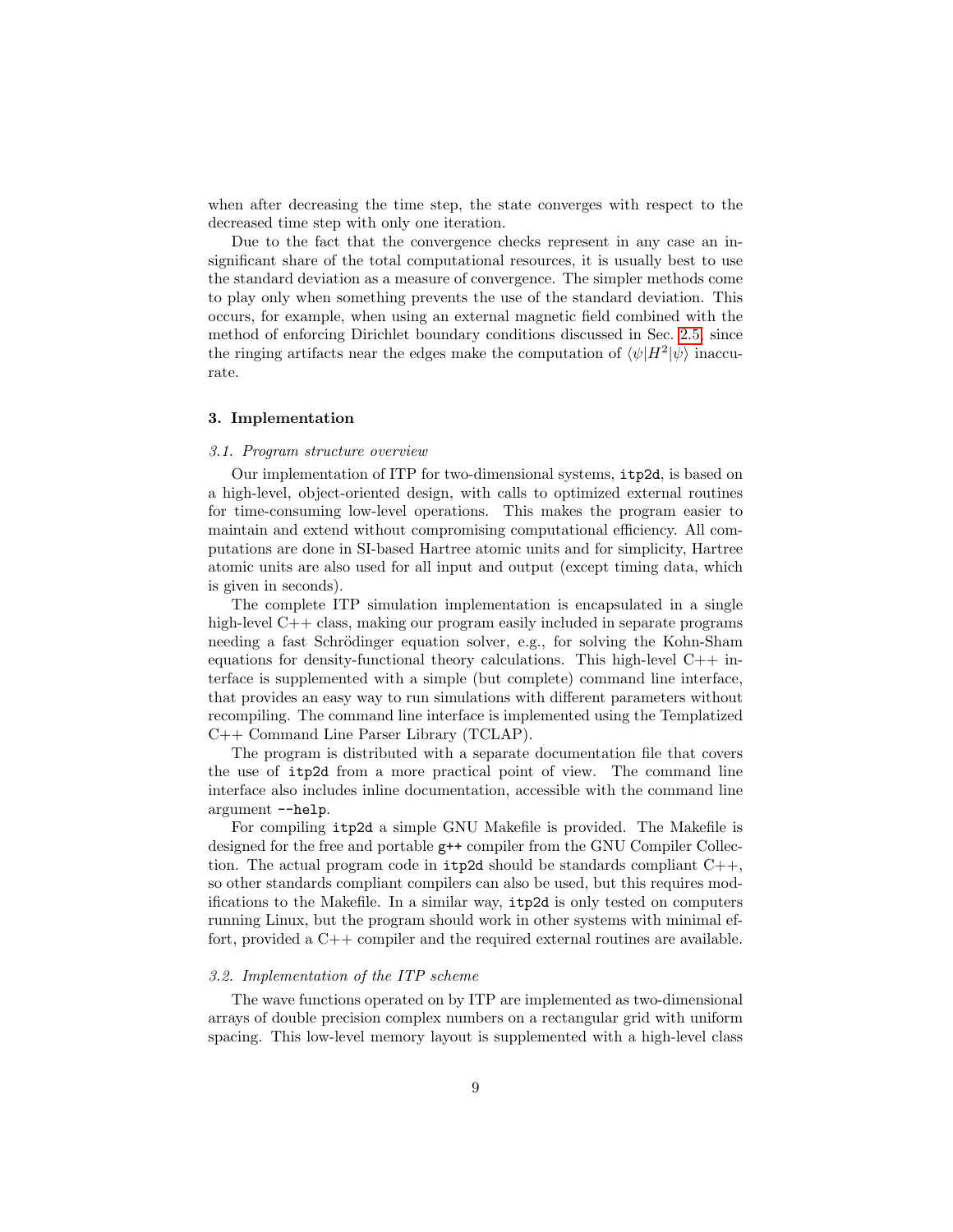when after decreasing the time step, the state converges with respect to the decreased time step with only one iteration.

Due to the fact that the convergence checks represent in any case an insignificant share of the total computational resources, it is usually best to use the standard deviation as a measure of convergence. The simpler methods come to play only when something prevents the use of the standard deviation. This occurs, for example, when using an external magnetic field combined with the method of enforcing Dirichlet boundary conditions discussed in Sec. [2.5,](#page-6-1) since the ringing artifacts near the edges make the computation of  $\langle \psi | H^2 | \psi \rangle$  inaccurate.

## <span id="page-8-0"></span>3. Implementation

## 3.1. Program structure overview

Our implementation of ITP for two-dimensional systems, itp2d, is based on a high-level, object-oriented design, with calls to optimized external routines for time-consuming low-level operations. This makes the program easier to maintain and extend without compromising computational efficiency. All computations are done in SI-based Hartree atomic units and for simplicity, Hartree atomic units are also used for all input and output (except timing data, which is given in seconds).

The complete ITP simulation implementation is encapsulated in a single high-level C++ class, making our program easily included in separate programs needing a fast Schrödinger equation solver, e.g., for solving the Kohn-Sham equations for density-functional theory calculations. This high-level  $C++$  interface is supplemented with a simple (but complete) command line interface, that provides an easy way to run simulations with different parameters without recompiling. The command line interface is implemented using the Templatized C++ Command Line Parser Library (TCLAP).

The program is distributed with a separate documentation file that covers the use of itp2d from a more practical point of view. The command line interface also includes inline documentation, accessible with the command line argument --help.

For compiling itp2d a simple GNU Makefile is provided. The Makefile is designed for the free and portable g++ compiler from the GNU Compiler Collection. The actual program code in  $itp2d$  should be standards compliant  $C++$ , so other standards compliant compilers can also be used, but this requires modifications to the Makefile. In a similar way, itp2d is only tested on computers running Linux, but the program should work in other systems with minimal effort, provided a C++ compiler and the required external routines are available.

# 3.2. Implementation of the ITP scheme

The wave functions operated on by ITP are implemented as two-dimensional arrays of double precision complex numbers on a rectangular grid with uniform spacing. This low-level memory layout is supplemented with a high-level class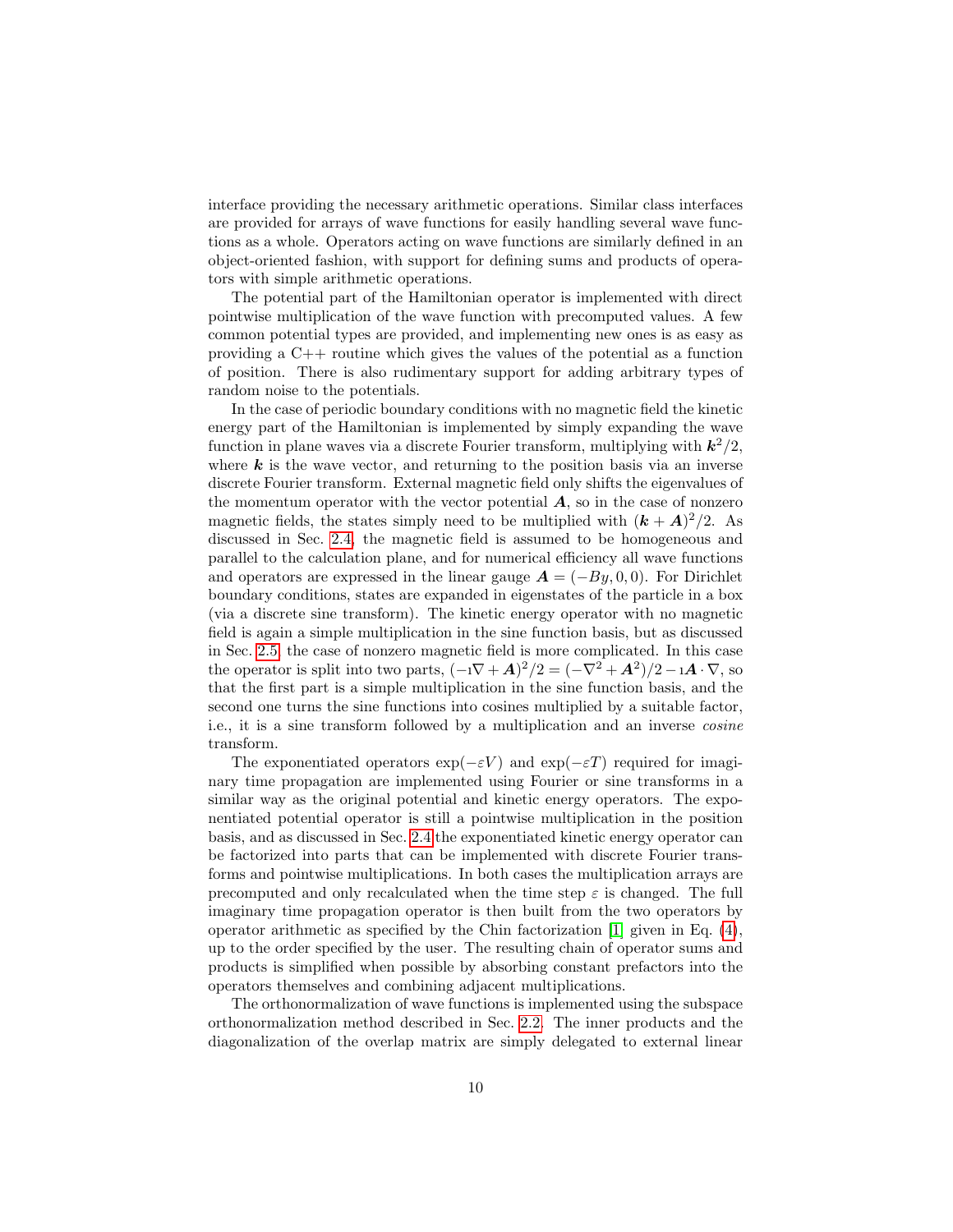interface providing the necessary arithmetic operations. Similar class interfaces are provided for arrays of wave functions for easily handling several wave functions as a whole. Operators acting on wave functions are similarly defined in an object-oriented fashion, with support for defining sums and products of operators with simple arithmetic operations.

The potential part of the Hamiltonian operator is implemented with direct pointwise multiplication of the wave function with precomputed values. A few common potential types are provided, and implementing new ones is as easy as providing a C++ routine which gives the values of the potential as a function of position. There is also rudimentary support for adding arbitrary types of random noise to the potentials.

In the case of periodic boundary conditions with no magnetic field the kinetic energy part of the Hamiltonian is implemented by simply expanding the wave function in plane waves via a discrete Fourier transform, multiplying with  $k^2/2$ , where  $k$  is the wave vector, and returning to the position basis via an inverse discrete Fourier transform. External magnetic field only shifts the eigenvalues of the momentum operator with the vector potential  $A$ , so in the case of nonzero magnetic fields, the states simply need to be multiplied with  $(k + A)^2/2$ . As discussed in Sec. [2.4,](#page-5-1) the magnetic field is assumed to be homogeneous and parallel to the calculation plane, and for numerical efficiency all wave functions and operators are expressed in the linear gauge  $\mathbf{A} = (-By, 0, 0)$ . For Dirichlet boundary conditions, states are expanded in eigenstates of the particle in a box (via a discrete sine transform). The kinetic energy operator with no magnetic field is again a simple multiplication in the sine function basis, but as discussed in Sec. [2.5,](#page-6-1) the case of nonzero magnetic field is more complicated. In this case the operator is split into two parts,  $(-i\nabla + A)^2/2 = (-\nabla^2 + A^2)/2 - iA \cdot \nabla$ , so that the first part is a simple multiplication in the sine function basis, and the second one turns the sine functions into cosines multiplied by a suitable factor, i.e., it is a sine transform followed by a multiplication and an inverse cosine transform.

The exponentiated operators  $\exp(-\varepsilon V)$  and  $\exp(-\varepsilon T)$  required for imaginary time propagation are implemented using Fourier or sine transforms in a similar way as the original potential and kinetic energy operators. The exponentiated potential operator is still a pointwise multiplication in the position basis, and as discussed in Sec. [2.4](#page-5-1) the exponentiated kinetic energy operator can be factorized into parts that can be implemented with discrete Fourier transforms and pointwise multiplications. In both cases the multiplication arrays are precomputed and only recalculated when the time step  $\varepsilon$  is changed. The full imaginary time propagation operator is then built from the two operators by operator arithmetic as specified by the Chin factorization [\[1\]](#page-15-0) given in Eq. [\(4\)](#page-5-0), up to the order specified by the user. The resulting chain of operator sums and products is simplified when possible by absorbing constant prefactors into the operators themselves and combining adjacent multiplications.

The orthonormalization of wave functions is implemented using the subspace orthonormalization method described in Sec. [2.2.](#page-3-2) The inner products and the diagonalization of the overlap matrix are simply delegated to external linear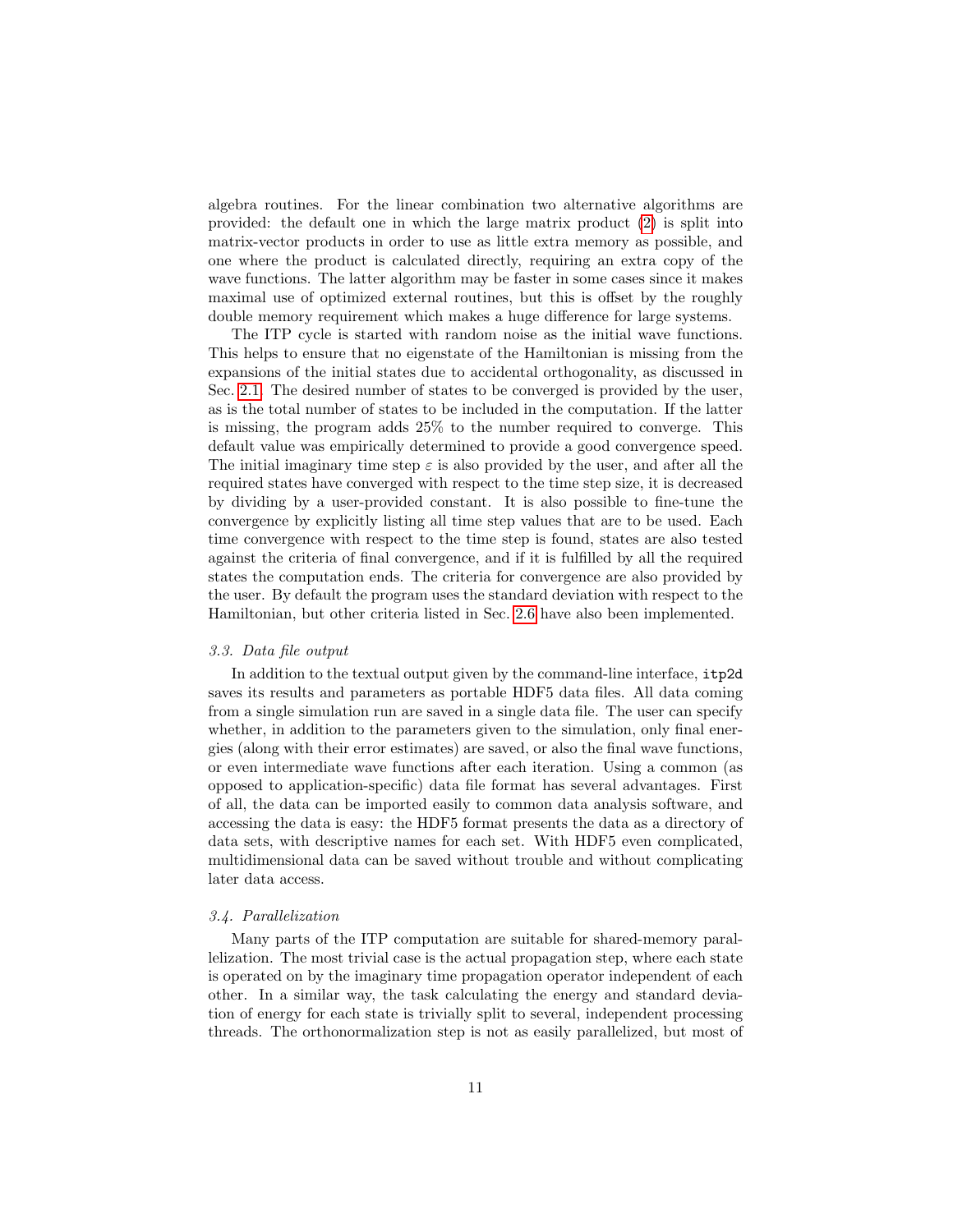algebra routines. For the linear combination two alternative algorithms are provided: the default one in which the large matrix product [\(2\)](#page-3-1) is split into matrix-vector products in order to use as little extra memory as possible, and one where the product is calculated directly, requiring an extra copy of the wave functions. The latter algorithm may be faster in some cases since it makes maximal use of optimized external routines, but this is offset by the roughly double memory requirement which makes a huge difference for large systems.

The ITP cycle is started with random noise as the initial wave functions. This helps to ensure that no eigenstate of the Hamiltonian is missing from the expansions of the initial states due to accidental orthogonality, as discussed in Sec. [2.1.](#page-2-1) The desired number of states to be converged is provided by the user, as is the total number of states to be included in the computation. If the latter is missing, the program adds 25% to the number required to converge. This default value was empirically determined to provide a good convergence speed. The initial imaginary time step  $\varepsilon$  is also provided by the user, and after all the required states have converged with respect to the time step size, it is decreased by dividing by a user-provided constant. It is also possible to fine-tune the convergence by explicitly listing all time step values that are to be used. Each time convergence with respect to the time step is found, states are also tested against the criteria of final convergence, and if it is fulfilled by all the required states the computation ends. The criteria for convergence are also provided by the user. By default the program uses the standard deviation with respect to the Hamiltonian, but other criteria listed in Sec. [2.6](#page-7-0) have also been implemented.

# 3.3. Data file output

In addition to the textual output given by the command-line interface, itp2d saves its results and parameters as portable HDF5 data files. All data coming from a single simulation run are saved in a single data file. The user can specify whether, in addition to the parameters given to the simulation, only final energies (along with their error estimates) are saved, or also the final wave functions, or even intermediate wave functions after each iteration. Using a common (as opposed to application-specific) data file format has several advantages. First of all, the data can be imported easily to common data analysis software, and accessing the data is easy: the HDF5 format presents the data as a directory of data sets, with descriptive names for each set. With HDF5 even complicated, multidimensional data can be saved without trouble and without complicating later data access.

# 3.4. Parallelization

Many parts of the ITP computation are suitable for shared-memory parallelization. The most trivial case is the actual propagation step, where each state is operated on by the imaginary time propagation operator independent of each other. In a similar way, the task calculating the energy and standard deviation of energy for each state is trivially split to several, independent processing threads. The orthonormalization step is not as easily parallelized, but most of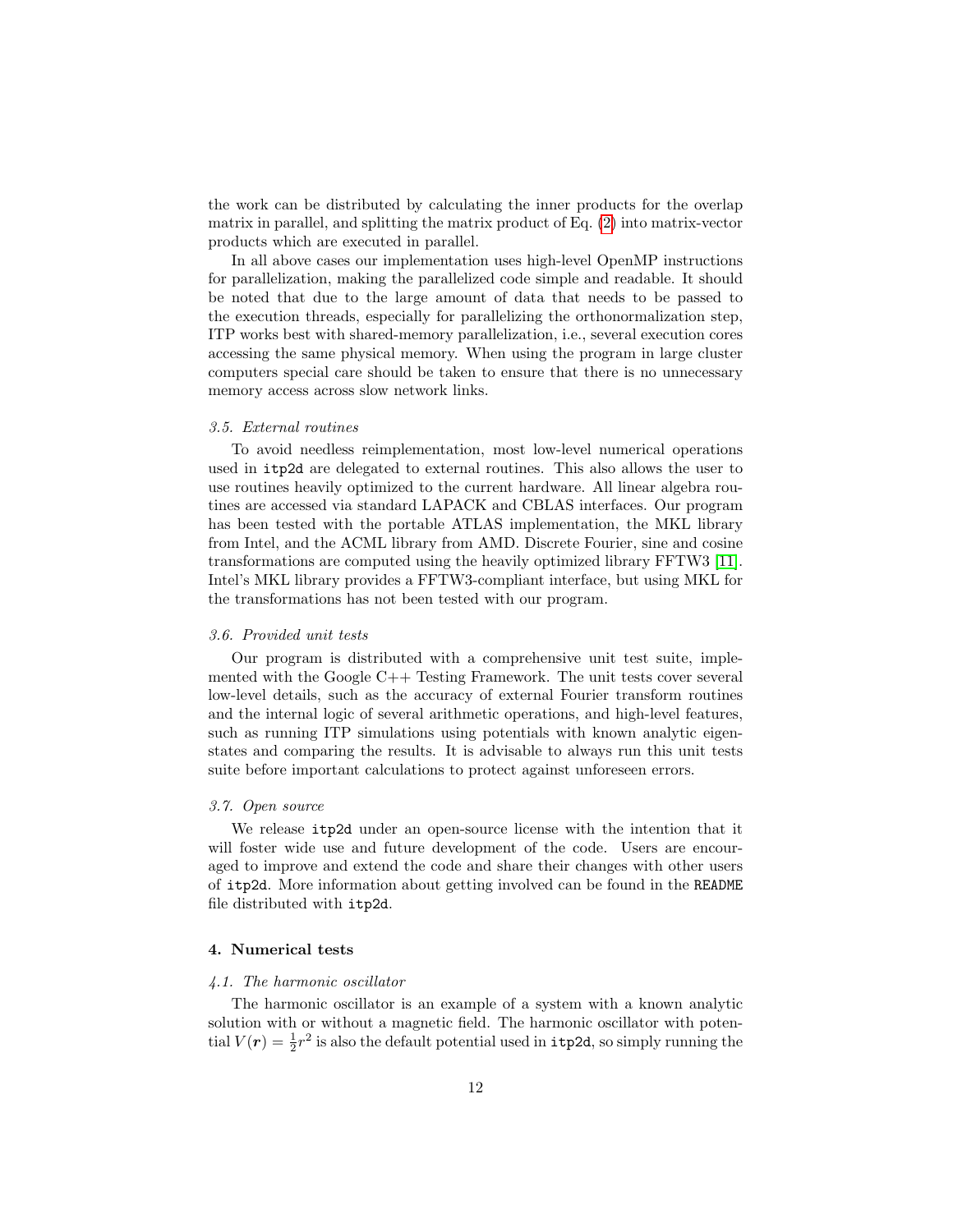the work can be distributed by calculating the inner products for the overlap matrix in parallel, and splitting the matrix product of Eq. [\(2\)](#page-3-1) into matrix-vector products which are executed in parallel.

In all above cases our implementation uses high-level OpenMP instructions for parallelization, making the parallelized code simple and readable. It should be noted that due to the large amount of data that needs to be passed to the execution threads, especially for parallelizing the orthonormalization step, ITP works best with shared-memory parallelization, i.e., several execution cores accessing the same physical memory. When using the program in large cluster computers special care should be taken to ensure that there is no unnecessary memory access across slow network links.

# 3.5. External routines

To avoid needless reimplementation, most low-level numerical operations used in itp2d are delegated to external routines. This also allows the user to use routines heavily optimized to the current hardware. All linear algebra routines are accessed via standard LAPACK and CBLAS interfaces. Our program has been tested with the portable ATLAS implementation, the MKL library from Intel, and the ACML library from AMD. Discrete Fourier, sine and cosine transformations are computed using the heavily optimized library FFTW3 [\[11\]](#page-16-4). Intel's MKL library provides a FFTW3-compliant interface, but using MKL for the transformations has not been tested with our program.

## 3.6. Provided unit tests

Our program is distributed with a comprehensive unit test suite, implemented with the Google C++ Testing Framework. The unit tests cover several low-level details, such as the accuracy of external Fourier transform routines and the internal logic of several arithmetic operations, and high-level features, such as running ITP simulations using potentials with known analytic eigenstates and comparing the results. It is advisable to always run this unit tests suite before important calculations to protect against unforeseen errors.

## 3.7. Open source

We release itp2d under an open-source license with the intention that it will foster wide use and future development of the code. Users are encouraged to improve and extend the code and share their changes with other users of itp2d. More information about getting involved can be found in the README file distributed with itp2d.

# 4. Numerical tests

## 4.1. The harmonic oscillator

The harmonic oscillator is an example of a system with a known analytic solution with or without a magnetic field. The harmonic oscillator with potential  $V(r) = \frac{1}{2}r^2$  is also the default potential used in  $\texttt{itp2d}$ , so simply running the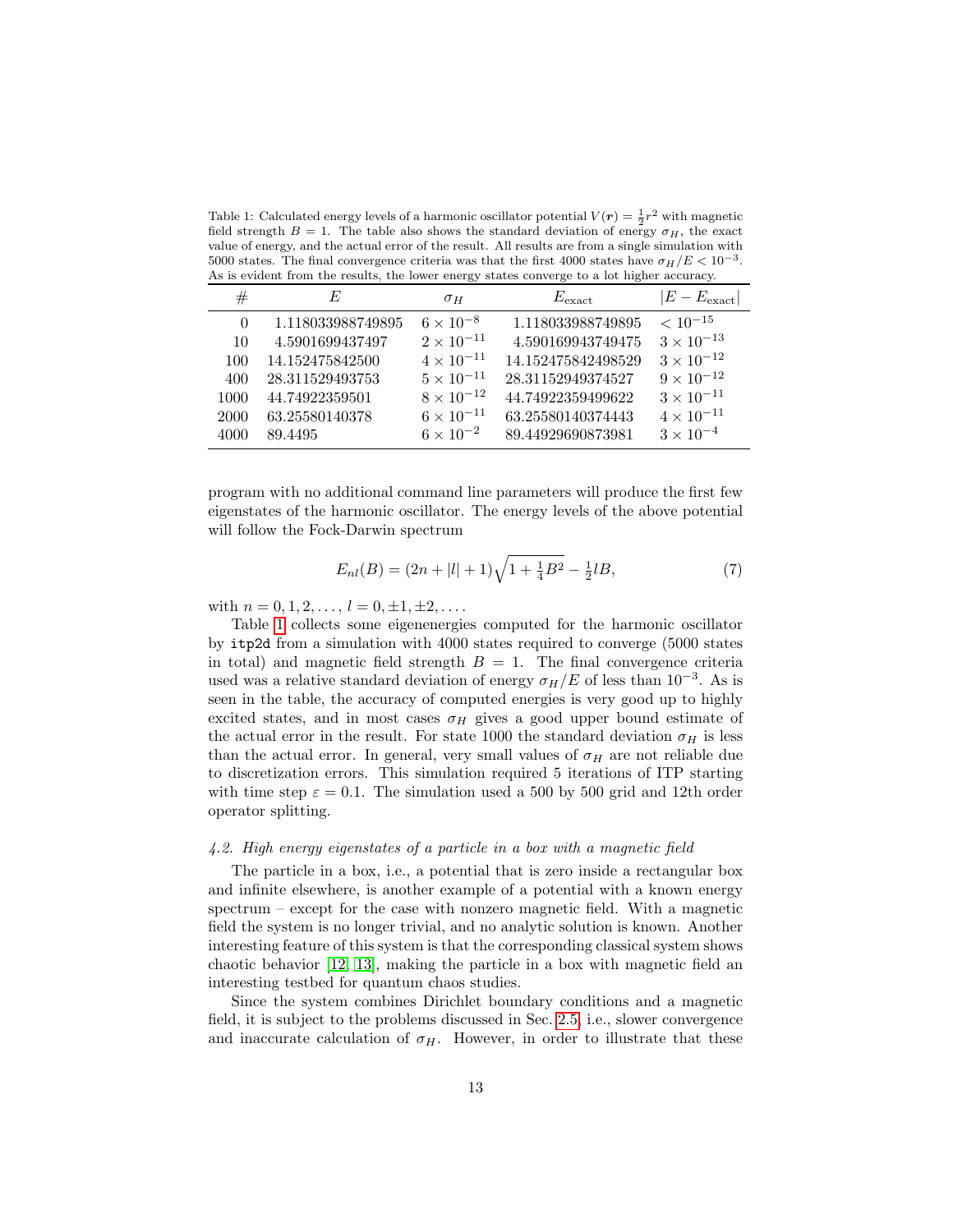<span id="page-12-0"></span>Table 1: Calculated energy levels of a harmonic oscillator potential  $V(r) = \frac{1}{2}r^2$  with magnetic field strength  $B = 1$ . The table also shows the standard deviation of energy  $\sigma_H$ , the exact value of energy, and the actual error of the result. All results are from a single simulation with 5000 states. The final convergence criteria was that the first 4000 states have  $\sigma_H/E < 10^{-3}$ . As is evident from the results, the lower energy states converge to a lot higher accuracy.

| #        | E                 | $\sigma_H$          | $E_{\text{exact}}$ | $ E - E_{\text{exact}} $ |
|----------|-------------------|---------------------|--------------------|--------------------------|
| $\Omega$ | 1.118033988749895 | $6 \times 10^{-8}$  | 1.118033988749895  | $< 10^{-15}$             |
| 10       | 4.5901699437497   | $2 \times 10^{-11}$ | 4.590169943749475  | $3 \times 10^{-13}$      |
| 100      | 14.152475842500   | $4 \times 10^{-11}$ | 14.152475842498529 | $3 \times 10^{-12}$      |
| 400      | 28.311529493753   | $5 \times 10^{-11}$ | 28.31152949374527  | $9 \times 10^{-12}$      |
| 1000     | 44.74922359501    | $8 \times 10^{-12}$ | 44.74922359499622  | $3 \times 10^{-11}$      |
| 2000     | 63.25580140378    | $6 \times 10^{-11}$ | 63.25580140374443  | $4 \times 10^{-11}$      |
| 4000     | 89.4495           | $6 \times 10^{-2}$  | 89.44929690873981  | $3 \times 10^{-4}$       |

program with no additional command line parameters will produce the first few eigenstates of the harmonic oscillator. The energy levels of the above potential will follow the Fock-Darwin spectrum

$$
E_{nl}(B) = (2n + |l| + 1)\sqrt{1 + \frac{1}{4}B^2} - \frac{1}{2}lB,\tag{7}
$$

with  $n = 0, 1, 2, \ldots, l = 0, \pm 1, \pm 2, \ldots$ 

Table [1](#page-12-0) collects some eigenenergies computed for the harmonic oscillator by itp2d from a simulation with 4000 states required to converge (5000 states in total) and magnetic field strength  $B = 1$ . The final convergence criteria used was a relative standard deviation of energy  $\sigma_H/E$  of less than 10<sup>-3</sup>. As is seen in the table, the accuracy of computed energies is very good up to highly excited states, and in most cases  $\sigma_H$  gives a good upper bound estimate of the actual error in the result. For state 1000 the standard deviation  $\sigma_H$  is less than the actual error. In general, very small values of  $\sigma_H$  are not reliable due to discretization errors. This simulation required 5 iterations of ITP starting with time step  $\varepsilon = 0.1$ . The simulation used a 500 by 500 grid and 12th order operator splitting.

# 4.2. High energy eigenstates of a particle in a box with a magnetic field

The particle in a box, i.e., a potential that is zero inside a rectangular box and infinite elsewhere, is another example of a potential with a known energy spectrum – except for the case with nonzero magnetic field. With a magnetic field the system is no longer trivial, and no analytic solution is known. Another interesting feature of this system is that the corresponding classical system shows chaotic behavior [\[12,](#page-16-5) [13\]](#page-16-6), making the particle in a box with magnetic field an interesting testbed for quantum chaos studies.

Since the system combines Dirichlet boundary conditions and a magnetic field, it is subject to the problems discussed in Sec. [2.5,](#page-6-1) i.e., slower convergence and inaccurate calculation of  $\sigma_H$ . However, in order to illustrate that these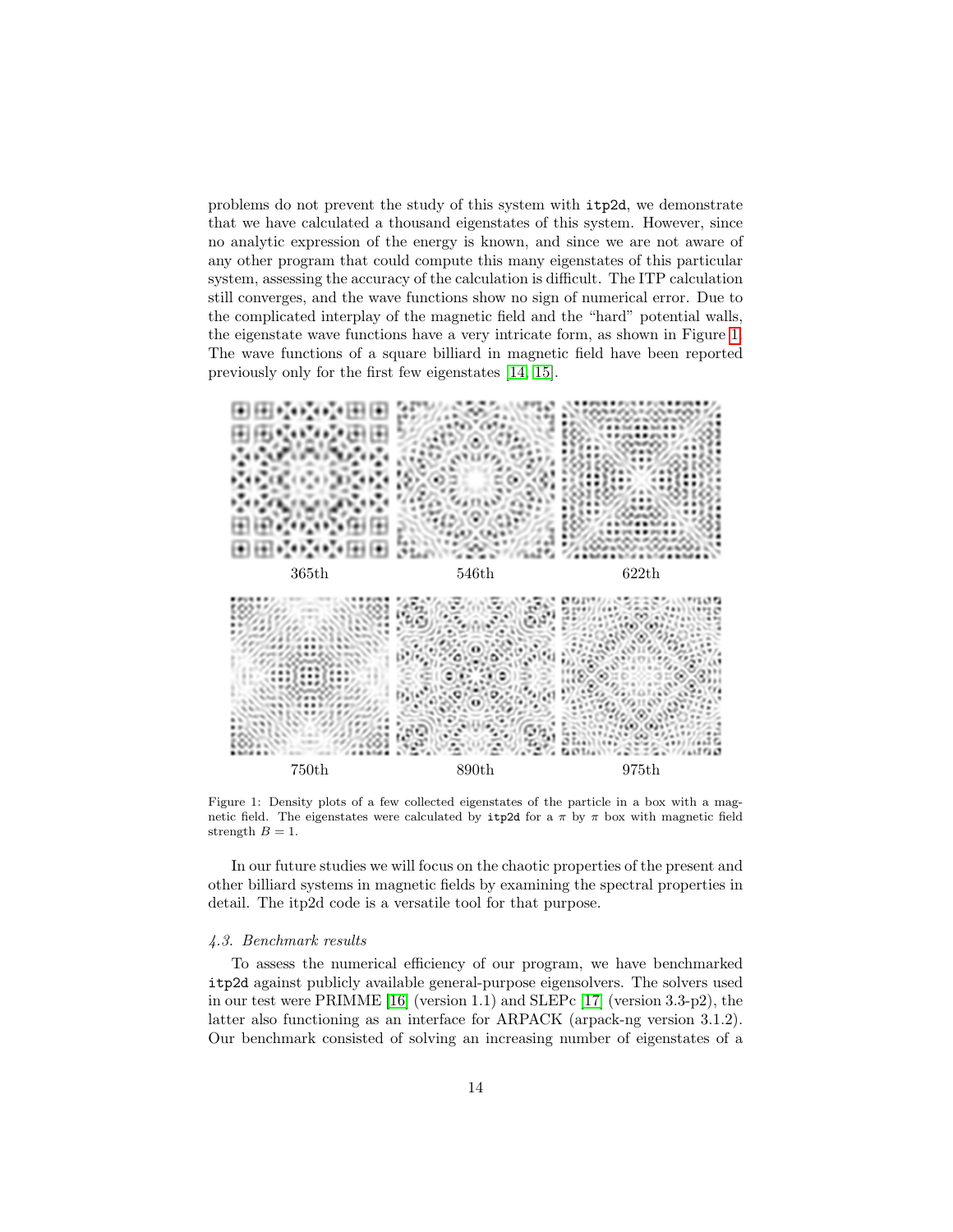problems do not prevent the study of this system with itp2d, we demonstrate that we have calculated a thousand eigenstates of this system. However, since no analytic expression of the energy is known, and since we are not aware of any other program that could compute this many eigenstates of this particular system, assessing the accuracy of the calculation is difficult. The ITP calculation still converges, and the wave functions show no sign of numerical error. Due to the complicated interplay of the magnetic field and the "hard" potential walls, the eigenstate wave functions have a very intricate form, as shown in Figure [1.](#page-13-1) The wave functions of a square billiard in magnetic field have been reported previously only for the first few eigenstates [\[14,](#page-16-7) [15\]](#page-16-8).



<span id="page-13-1"></span>Figure 1: Density plots of a few collected eigenstates of the particle in a box with a magnetic field. The eigenstates were calculated by itp2d for a  $\pi$  by  $\pi$  box with magnetic field strength  $B = 1$ .

In our future studies we will focus on the chaotic properties of the present and other billiard systems in magnetic fields by examining the spectral properties in detail. The itp2d code is a versatile tool for that purpose.

## <span id="page-13-0"></span>4.3. Benchmark results

To assess the numerical efficiency of our program, we have benchmarked itp2d against publicly available general-purpose eigensolvers. The solvers used in our test were PRIMME [\[16\]](#page-16-9) (version 1.1) and SLEPc [\[17\]](#page-16-10) (version 3.3-p2), the latter also functioning as an interface for ARPACK (arpack-ng version 3.1.2). Our benchmark consisted of solving an increasing number of eigenstates of a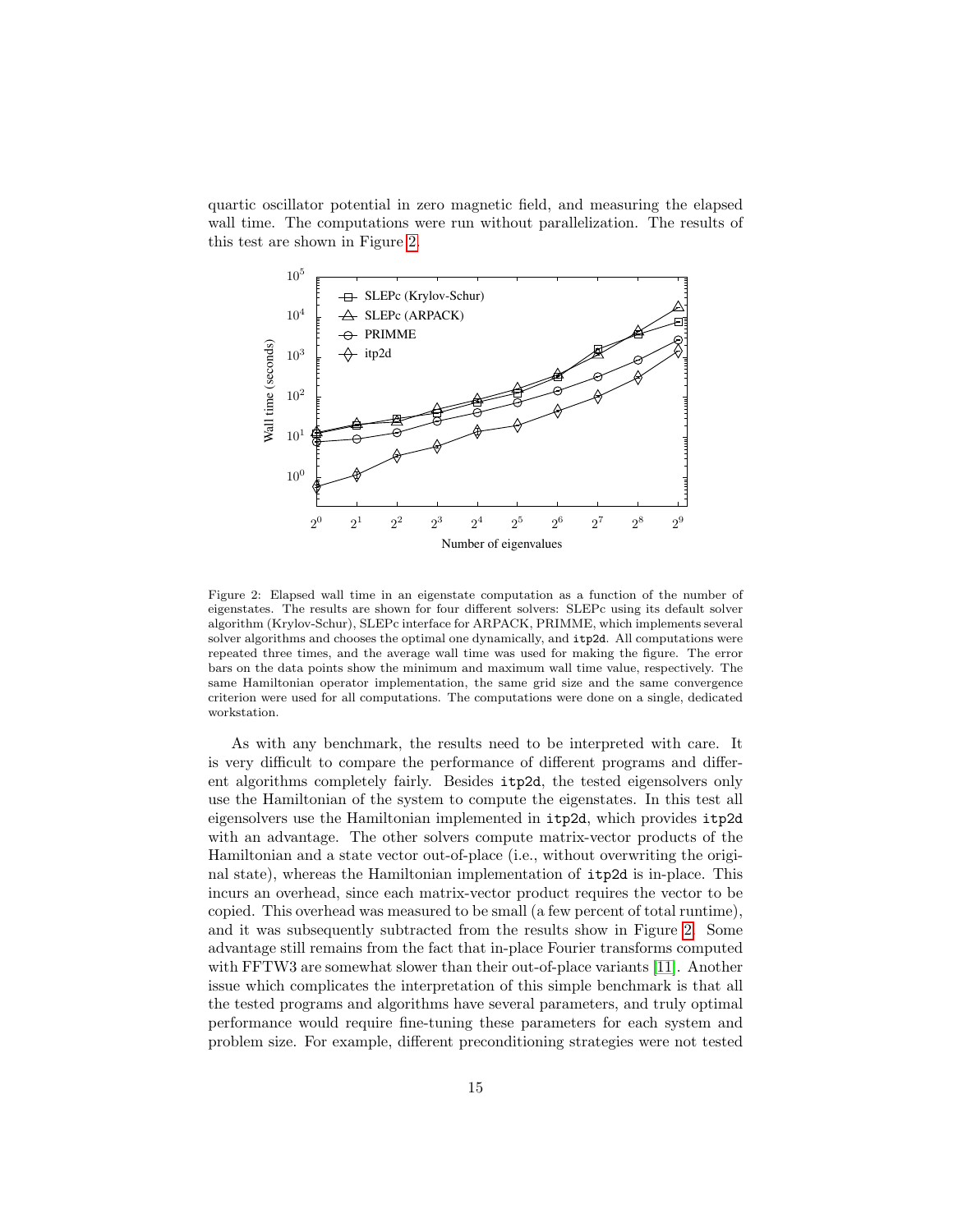quartic oscillator potential in zero magnetic field, and measuring the elapsed wall time. The computations were run without parallelization. The results of this test are shown in Figure [2.](#page-14-0)



<span id="page-14-0"></span>Figure 2: Elapsed wall time in an eigenstate computation as a function of the number of eigenstates. The results are shown for four different solvers: SLEPc using its default solver algorithm (Krylov-Schur), SLEPc interface for ARPACK, PRIMME, which implements several solver algorithms and chooses the optimal one dynamically, and itp2d. All computations were repeated three times, and the average wall time was used for making the figure. The error bars on the data points show the minimum and maximum wall time value, respectively. The same Hamiltonian operator implementation, the same grid size and the same convergence criterion were used for all computations. The computations were done on a single, dedicated workstation.

As with any benchmark, the results need to be interpreted with care. It is very difficult to compare the performance of different programs and different algorithms completely fairly. Besides itp2d, the tested eigensolvers only use the Hamiltonian of the system to compute the eigenstates. In this test all eigensolvers use the Hamiltonian implemented in itp2d, which provides itp2d with an advantage. The other solvers compute matrix-vector products of the Hamiltonian and a state vector out-of-place (i.e., without overwriting the original state), whereas the Hamiltonian implementation of itp2d is in-place. This incurs an overhead, since each matrix-vector product requires the vector to be copied. This overhead was measured to be small (a few percent of total runtime), and it was subsequently subtracted from the results show in Figure [2.](#page-14-0) Some advantage still remains from the fact that in-place Fourier transforms computed with FFTW3 are somewhat slower than their out-of-place variants [\[11\]](#page-16-4). Another issue which complicates the interpretation of this simple benchmark is that all the tested programs and algorithms have several parameters, and truly optimal performance would require fine-tuning these parameters for each system and problem size. For example, different preconditioning strategies were not tested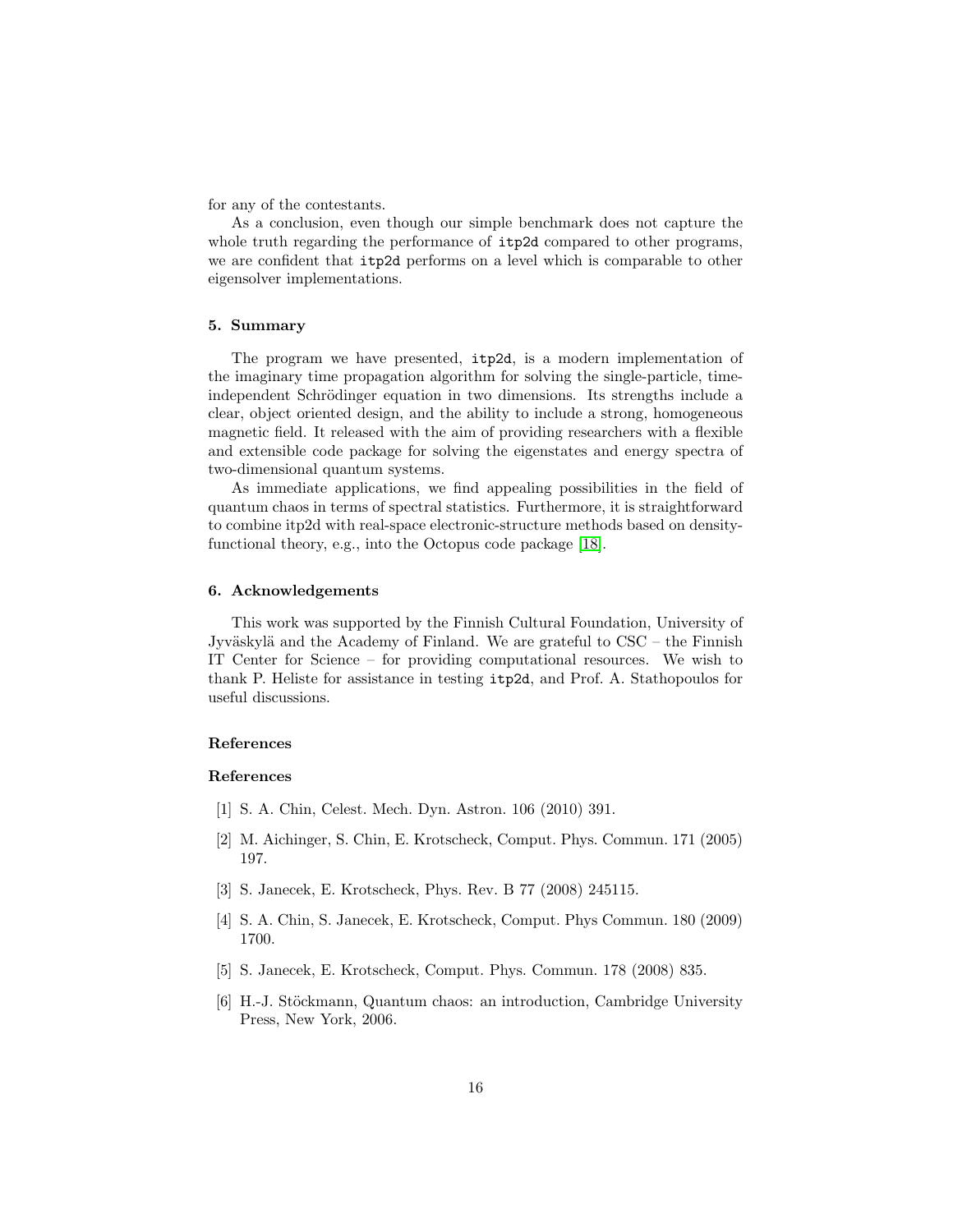for any of the contestants.

As a conclusion, even though our simple benchmark does not capture the whole truth regarding the performance of  $itp2d$  compared to other programs, we are confident that itp2d performs on a level which is comparable to other eigensolver implementations.

# 5. Summary

The program we have presented, itp2d, is a modern implementation of the imaginary time propagation algorithm for solving the single-particle, timeindependent Schrödinger equation in two dimensions. Its strengths include a clear, object oriented design, and the ability to include a strong, homogeneous magnetic field. It released with the aim of providing researchers with a flexible and extensible code package for solving the eigenstates and energy spectra of two-dimensional quantum systems.

As immediate applications, we find appealing possibilities in the field of quantum chaos in terms of spectral statistics. Furthermore, it is straightforward to combine itp2d with real-space electronic-structure methods based on densityfunctional theory, e.g., into the Octopus code package [\[18\]](#page-16-11).

## 6. Acknowledgements

This work was supported by the Finnish Cultural Foundation, University of Jyväskylä and the Academy of Finland. We are grateful to  $CSC -$  the Finnish IT Center for Science – for providing computational resources. We wish to thank P. Heliste for assistance in testing itp2d, and Prof. A. Stathopoulos for useful discussions.

# References

# References

- <span id="page-15-0"></span>[1] S. A. Chin, Celest. Mech. Dyn. Astron. 106 (2010) 391.
- <span id="page-15-1"></span>[2] M. Aichinger, S. Chin, E. Krotscheck, Comput. Phys. Commun. 171 (2005) 197.
- <span id="page-15-2"></span>[3] S. Janecek, E. Krotscheck, Phys. Rev. B 77 (2008) 245115.
- <span id="page-15-3"></span>[4] S. A. Chin, S. Janecek, E. Krotscheck, Comput. Phys Commun. 180 (2009) 1700.
- <span id="page-15-4"></span>[5] S. Janecek, E. Krotscheck, Comput. Phys. Commun. 178 (2008) 835.
- <span id="page-15-5"></span>[6] H.-J. Stöckmann, Quantum chaos: an introduction, Cambridge University Press, New York, 2006.